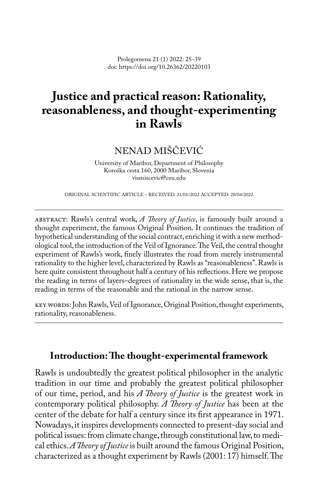Prolegomena 21 (1) 2022: 25-39 doi: https://doi.org/10.26362/20220103

# **Justice and practical reason: Rationality, reasonableness, and thought-experimenting in Rawls**

## NENAD MIŠČEVIĆ

University of Maribor, Department of Philosophy Koroška cesta 160, 2000 Maribor, Slovenia vismiscevic@ceu.edu

ORIGINAL SCIENTIFIC ARTICLE – RECEIVED: 21/01/2022 ACCEPTED: 28/04/2022

abstract: Rawls's central work, *A Theory of Justice*, is famously built around a thought experiment, the famous Original Position. It continues the tradition of hypothetical understanding of the social contract, enriching it with a new methodological tool, the introduction of the Veil of Ignorance. The Veil, the central thought experiment of Rawls's work, finely illustrates the road from merely instrumental rationality to the higher level, characterized by Rawls as "reasonableness". Rawls is here quite consistent throughout half a century of his reflections. Here we propose the reading in terms of layers–degrees of rationality in the wide sense, that is, the reading in terms of the reasonable and the rational in the narrow sense.

key words: John Rawls, Veil of Ignorance, Original Position, thought experiments, rationality, reasonableness.

## **Introduction: The thought-experimental framework**

Rawls is undoubtedly the greatest political philosopher in the analytic tradition in our time and probably the greatest political philosopher of our time, period, and his *A Theory of Justice* is the greatest work in contemporary political philosophy. *A Theory of Justice* has been at the center of the debate for half a century since its first appearance in 1971. Nowadays, it inspires developments connected to present-day social and political issues: from climate change, through constitutional law, to medical ethics. *A Theory of Justice* is built around the famous Original Position, characterized as a thought experiment by Rawls (2001: 17) himself. The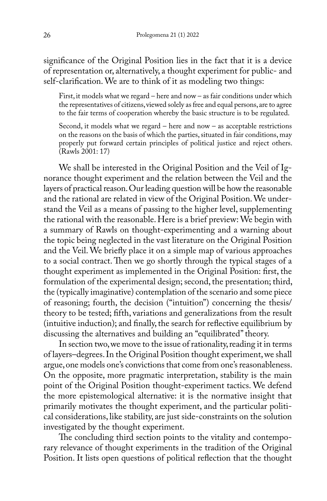significance of the Original Position lies in the fact that it is a device of representation or, alternatively, a thought experiment for public- and self-clarification. We are to think of it as modeling two things:

First, it models what we regard – here and now – as fair conditions under which the representatives of citizens, viewed solely as free and equal persons, are to agree to the fair terms of cooperation whereby the basic structure is to be regulated.

Second, it models what we regard – here and now – as acceptable restrictions on the reasons on the basis of which the parties, situated in fair conditions, may properly put forward certain principles of political justice and reject others. (Rawls 2001: 17)

We shall be interested in the Original Position and the Veil of Ignorance thought experiment and the relation between the Veil and the layers of practical reason. Our leading question will be how the reasonable and the rational are related in view of the Original Position. We understand the Veil as a means of passing to the higher level, supplementing the rational with the reasonable. Here is a brief preview: We begin with a summary of Rawls on thought-experimenting and a warning about the topic being neglected in the vast literature on the Original Position and the Veil. We briefly place it on a simple map of various approaches to a social contract. Then we go shortly through the typical stages of a thought experiment as implemented in the Original Position: first, the formulation of the experimental design; second, the presentation; third, the (typically imaginative) contemplation of the scenario and some piece of reasoning; fourth, the decision ("intuition") concerning the thesis/ theory to be tested; fifth, variations and generalizations from the result (intuitive induction); and finally, the search for reflective equilibrium by discussing the alternatives and building an "equilibrated" theory.

In section two, we move to the issue of rationality, reading it in terms of layers–degrees. In the Original Position thought experiment, we shall argue, one models one's convictions that come from one's reasonableness. On the opposite, more pragmatic interpretation, stability is the main point of the Original Position thought-experiment tactics. We defend the more epistemological alternative: it is the normative insight that primarily motivates the thought experiment, and the particular political considerations, like stability, are just side-constraints on the solution investigated by the thought experiment.

The concluding third section points to the vitality and contemporary relevance of thought experiments in the tradition of the Original Position. It lists open questions of political reflection that the thought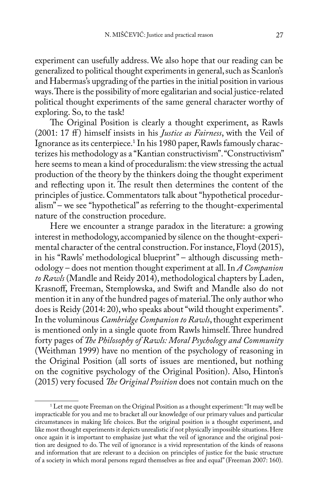experiment can usefully address. We also hope that our reading can be generalized to political thought experiments in general, such as Scanlon's and Habermas's upgrading of the parties in the initial position in various ways. There is the possibility of more egalitarian and social justice-related political thought experiments of the same general character worthy of exploring. So, to the task!

The Original Position is clearly a thought experiment, as Rawls (2001: 17 ff ) himself insists in his *Justice as Fairness*, with the Veil of Ignorance as its centerpiece.1 In his 1980 paper, Rawls famously characterizes his methodology as a "Kantian constructivism". "Constructivism" here seems to mean a kind of proceduralism: the view stressing the actual production of the theory by the thinkers doing the thought experiment and reflecting upon it. The result then determines the content of the principles of justice. Commentators talk about "hypothetical proceduralism" – we see "hypothetical" as referring to the thought-experimental nature of the construction procedure.

Here we encounter a strange paradox in the literature: a growing interest in methodology, accompanied by silence on the thought-experimental character of the central construction. For instance, Floyd (2015), in his "Rawls' methodological blueprint" – although discussing methodology – does not mention thought experiment at all. In *A Companion to Rawls* (Mandle and Reidy 2014), methodological chapters by Laden, Krasnoff, Freeman, Stemplowska, and Swift and Mandle also do not mention it in any of the hundred pages of material. The only author who does is Reidy (2014: 20), who speaks about "wild thought experiments". In the voluminous *Cambridge Companion to Rawls*, thought experiment is mentioned only in a single quote from Rawls himself. Three hundred forty pages of *The Philosophy of Rawls: Moral Psychology and Community* (Weithman 1999) have no mention of the psychology of reasoning in the Original Position (all sorts of issues are mentioned, but nothing on the cognitive psychology of the Original Position). Also, Hinton's (2015) very focused *The Original Position* does not contain much on the

<sup>1</sup> Let me quote Freeman on the Original Position as a thought experiment: "It may well be impracticable for you and me to bracket all our knowledge of our primary values and particular circumstances in making life choices. But the original position is a thought experiment, and like most thought experiments it depicts unrealistic if not physically impossible situations. Here once again it is important to emphasize just what the veil of ignorance and the original position are designed to do. The veil of ignorance is a vivid representation of the kinds of reasons and information that are relevant to a decision on principles of justice for the basic structure of a society in which moral persons regard themselves as free and equal" (Freeman 2007: 160).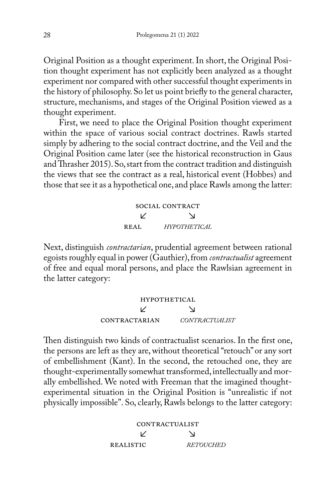Original Position as a thought experiment. In short, the Original Position thought experiment has not explicitly been analyzed as a thought experiment nor compared with other successful thought experiments in the history of philosophy. So let us point briefly to the general character, structure, mechanisms, and stages of the Original Position viewed as a thought experiment.

First, we need to place the Original Position thought experiment within the space of various social contract doctrines. Rawls started simply by adhering to the social contract doctrine, and the Veil and the Original Position came later (see the historical reconstruction in Gaus and Thrasher 2015). So, start from the contract tradition and distinguish the views that see the contract as a real, historical event (Hobbes) and those that see it as a hypothetical one, and place Rawls among the latter:

> social contract ↙ ↘ real *hypothetical*

Next, distinguish *contractarian*, prudential agreement between rational egoists roughly equal in power (Gauthier), from *contractualist* agreement of free and equal moral persons, and place the Rawlsian agreement in the latter category:

> **HYPOTHETICAL** ↙ ↘ contractarian *contractualist*

Then distinguish two kinds of contractualist scenarios. In the first one, the persons are left as they are, without theoretical "retouch" or any sort of embellishment (Kant). In the second, the retouched one, they are thought-experimentally somewhat transformed, intellectually and morally embellished. We noted with Freeman that the imagined thoughtexperimental situation in the Original Position is "unrealistic if not physically impossible". So, clearly, Rawls belongs to the latter category:

> CONTRACTUALIST ↙ ↘ realistic *retouched*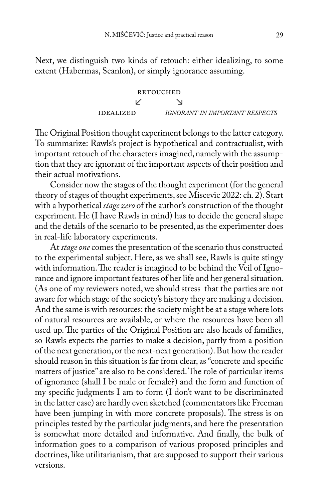Next, we distinguish two kinds of retouch: either idealizing, to some extent (Habermas, Scanlon), or simply ignorance assuming.

**RETOUCHED**

\n
$$
\angle
$$

\n**IDEALIZED**

\n*IGNORANT IN IMPORTANT RESPECTS*

The Original Position thought experiment belongs to the latter category. To summarize: Rawls's project is hypothetical and contractualist, with important retouch of the characters imagined, namely with the assumption that they are ignorant of the important aspects of their position and their actual motivations.

Consider now the stages of the thought experiment (for the general theory of stages of thought experiments, see Miscevic 2022: ch. 2). Start with a hypothetical *stage zero* of the author's construction of the thought experiment. He (I have Rawls in mind) has to decide the general shape and the details of the scenario to be presented, as the experimenter does in real-life laboratory experiments.

At *stage one* comes the presentation of the scenario thus constructed to the experimental subject. Here, as we shall see, Rawls is quite stingy with information. The reader is imagined to be behind the Veil of Ignorance and ignore important features of her life and her general situation. (As one of my reviewers noted, we should stress that the parties are not aware for which stage of the society's history they are making a decision. And the same is with resources: the society might be at a stage where lots of natural resources are available, or where the resources have been all used up. The parties of the Original Position are also heads of families, so Rawls expects the parties to make a decision, partly from a position of the next generation, or the next-next generation). But how the reader should reason in this situation is far from clear, as "concrete and specific matters of justice" are also to be considered. The role of particular items of ignorance (shall I be male or female?) and the form and function of my specific judgments I am to form (I don't want to be discriminated in the latter case) are hardly even sketched (commentators like Freeman have been jumping in with more concrete proposals). The stress is on principles tested by the particular judgments, and here the presentation is somewhat more detailed and informative. And finally, the bulk of information goes to a comparison of various proposed principles and doctrines, like utilitarianism, that are supposed to support their various versions.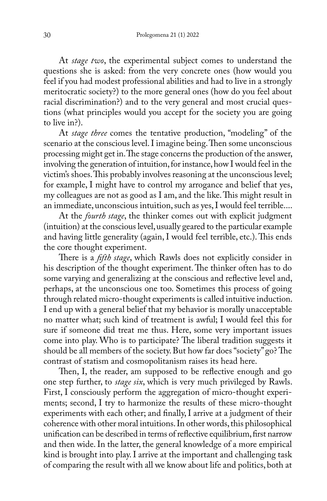At *stage two*, the experimental subject comes to understand the questions she is asked: from the very concrete ones (how would you feel if you had modest professional abilities and had to live in a strongly meritocratic society?) to the more general ones (how do you feel about racial discrimination?) and to the very general and most crucial questions (what principles would you accept for the society you are going to live in?).

At *stage three* comes the tentative production, "modeling" of the scenario at the conscious level. I imagine being. Then some unconscious processing might get in. The stage concerns the production of the answer, involving the generation of intuition, for instance, how I would feel in the victim's shoes. This probably involves reasoning at the unconscious level; for example, I might have to control my arrogance and belief that yes, my colleagues are not as good as I am, and the like. This might result in an immediate, unconscious intuition, such as yes, I would feel terrible....

At the *fourth stage*, the thinker comes out with explicit judgment (intuition) at the conscious level, usually geared to the particular example and having little generality (again, I would feel terrible, etc.). This ends the core thought experiment.

There is a *fifth stage*, which Rawls does not explicitly consider in his description of the thought experiment. The thinker often has to do some varying and generalizing at the conscious and reflective level and, perhaps, at the unconscious one too. Sometimes this process of going through related micro-thought experiments is called intuitive induction. I end up with a general belief that my behavior is morally unacceptable no matter what; such kind of treatment is awful; I would feel this for sure if someone did treat me thus. Here, some very important issues come into play. Who is to participate? The liberal tradition suggests it should be all members of the society. But how far does "society" go? The contrast of statism and cosmopolitanism raises its head here.

Then, I, the reader, am supposed to be reflective enough and go one step further, to *stage six*, which is very much privileged by Rawls. First, I consciously perform the aggregation of micro-thought experiments; second, I try to harmonize the results of these micro-thought experiments with each other; and finally, I arrive at a judgment of their coherence with other moral intuitions. In other words, this philosophical unification can be described in terms of reflective equilibrium, first narrow and then wide. In the latter, the general knowledge of a more empirical kind is brought into play. I arrive at the important and challenging task of comparing the result with all we know about life and politics, both at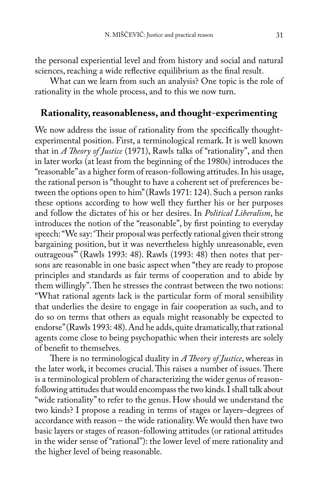the personal experiential level and from history and social and natural sciences, reaching a wide reflective equilibrium as the final result.

What can we learn from such an analysis? One topic is the role of rationality in the whole process, and to this we now turn.

## **Rationality, reasonableness, and thought-experimenting**

We now address the issue of rationality from the specifically thoughtexperimental position. First, a terminological remark. It is well known that in *A Theory of Justice* (1971), Rawls talks of "rationality", and then in later works (at least from the beginning of the 1980s) introduces the "reasonable" as a higher form of reason-following attitudes. In his usage, the rational person is "thought to have a coherent set of preferences between the options open to him" (Rawls 1971: 124). Such a person ranks these options according to how well they further his or her purposes and follow the dictates of his or her desires. In *Political Liberalism*, he introduces the notion of the "reasonable", by first pointing to everyday speech: "We say: 'Their proposal was perfectly rational given their strong bargaining position, but it was nevertheless highly unreasonable, even outrageous'" (Rawls 1993: 48). Rawls (1993: 48) then notes that persons are reasonable in one basic aspect when "they are ready to propose principles and standards as fair terms of cooperation and to abide by them willingly". Then he stresses the contrast between the two notions: "What rational agents lack is the particular form of moral sensibility that underlies the desire to engage in fair cooperation as such, and to do so on terms that others as equals might reasonably be expected to endorse" (Rawls 1993: 48). And he adds, quite dramatically, that rational agents come close to being psychopathic when their interests are solely of benefit to themselves.

There is no terminological duality in *A Theory of Justice*, whereas in the later work, it becomes crucial. This raises a number of issues. There is a terminological problem of characterizing the wider genus of reasonfollowing attitudes that would encompass the two kinds. I shall talk about "wide rationality" to refer to the genus. How should we understand the two kinds? I propose a reading in terms of stages or layers–degrees of accordance with reason – the wide rationality. We would then have two basic layers or stages of reason-following attitudes (or rational attitudes in the wider sense of "rational"): the lower level of mere rationality and the higher level of being reasonable.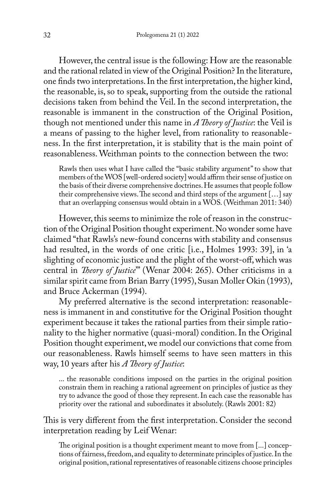However, the central issue is the following: How are the reasonable and the rational related in view of the Original Position? In the literature, one finds two interpretations. In the first interpretation, the higher kind, the reasonable, is, so to speak, supporting from the outside the rational decisions taken from behind the Veil. In the second interpretation, the reasonable is immanent in the construction of the Original Position, though not mentioned under this name in *A Theory of Justice*: the Veil is a means of passing to the higher level, from rationality to reasonableness. In the first interpretation, it is stability that is the main point of reasonableness. Weithman points to the connection between the two:

Rawls then uses what I have called the "basic stability argument" to show that members of the WOS [well-ordered society] would affirm their sense of justice on the basis of their diverse comprehensive doctrines. He assumes that people follow their comprehensive views. The second and third steps of the argument […] say that an overlapping consensus would obtain in a WOS. (Weithman 2011: 340)

However, this seems to minimize the role of reason in the construction of the Original Position thought experiment. No wonder some have claimed "that Rawls's new-found concerns with stability and consensus had resulted, in the words of one critic [i.e., Holmes 1993: 39], in 'a slighting of economic justice and the plight of the worst-off, which was central in *Theory of Justice*'" (Wenar 2004: 265). Other criticisms in a similar spirit came from Brian Barry (1995), Susan Moller Okin (1993), and Bruce Ackerman (1994).

My preferred alternative is the second interpretation: reasonableness is immanent in and constitutive for the Original Position thought experiment because it takes the rational parties from their simple rationality to the higher normative (quasi-moral) condition. In the Original Position thought experiment, we model our convictions that come from our reasonableness. Rawls himself seems to have seen matters in this way, 10 years after his *A Theory of Justice*:

... the reasonable conditions imposed on the parties in the original position constrain them in reaching a rational agreement on principles of justice as they try to advance the good of those they represent. In each case the reasonable has priority over the rational and subordinates it absolutely. (Rawls 2001: 82)

This is very different from the first interpretation. Consider the second interpretation reading by Leif Wenar:

The original position is a thought experiment meant to move from [...] conceptions of fairness, freedom, and equality to determinate principles of justice. In the original position, rational representatives of reasonable citizens choose principles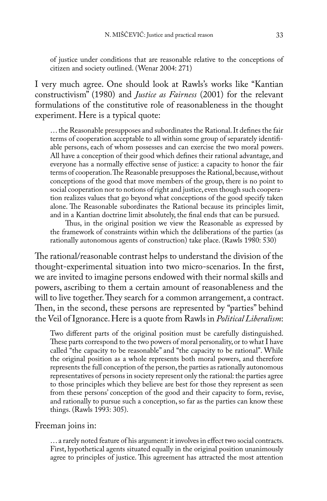of justice under conditions that are reasonable relative to the conceptions of citizen and society outlined. (Wenar 2004: 271)

I very much agree. One should look at Rawls's works like "Kantian constructivism" (1980) and *Justice as Fairness* (2001) for the relevant formulations of the constitutive role of reasonableness in the thought experiment. Here is a typical quote:

… the Reasonable presupposes and subordinates the Rational. It defines the fair terms of cooperation acceptable to all within some group of separately identifiable persons, each of whom possesses and can exercise the two moral powers. All have a conception of their good which defines their rational advantage, and everyone has a normally effective sense of justice: a capacity to honor the fair terms of cooperation. The Reasonable presupposes the Rational, because, without conceptions of the good that move members of the group, there is no point to social cooperation nor to notions of right and justice, even though such cooperation realizes values that go beyond what conceptions of the good specify taken alone. The Reasonable subordinates the Rational because its principles limit, and in a Kantian doctrine limit absolutely, the final ends that can be pursued.

Thus, in the original position we view the Reasonable as expressed by the framework of constraints within which the deliberations of the parties (as rationally autonomous agents of construction) take place. (Rawls 1980: 530)

The rational/reasonable contrast helps to understand the division of the thought-experimental situation into two micro-scenarios. In the first, we are invited to imagine persons endowed with their normal skills and powers, ascribing to them a certain amount of reasonableness and the will to live together. They search for a common arrangement, a contract. Then, in the second, these persons are represented by "parties" behind the Veil of Ignorance. Here is a quote from Rawls in *Political Liberalism*:

Two different parts of the original position must be carefully distinguished. These parts correspond to the two powers of moral personality, or to what I have called "the capacity to be reasonable" and "the capacity to be rational". While the original position as a whole represents both moral powers, and therefore represents the full conception of the person, the parties as rationally autonomous representatives of persons in society represent only the rational: the parties agree to those principles which they believe are best for those they represent as seen from these persons' conception of the good and their capacity to form, revise, and rationally to pursue such a conception, so far as the parties can know these things. (Rawls 1993: 305).

#### Freeman joins in:

… a rarely noted feature of his argument: it involves in effect two social contracts. First, hypothetical agents situated equally in the original position unanimously agree to principles of justice. This agreement has attracted the most attention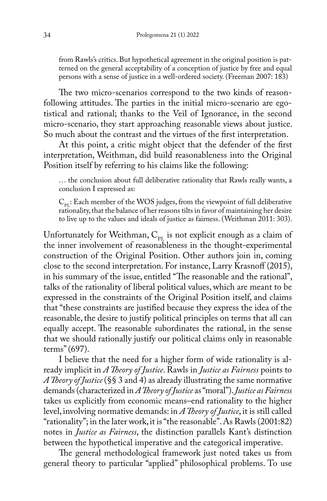from Rawls's critics. But hypothetical agreement in the original position is patterned on the general acceptability of a conception of justice by free and equal persons with a sense of justice in a well-ordered society. (Freeman 2007: 183)

The two micro-scenarios correspond to the two kinds of reasonfollowing attitudes. The parties in the initial micro-scenario are egotistical and rational; thanks to the Veil of Ignorance, in the second micro-scenario, they start approaching reasonable views about justice. So much about the contrast and the virtues of the first interpretation.

At this point, a critic might object that the defender of the first interpretation, Weithman, did build reasonableness into the Original Position itself by referring to his claims like the following:

… the conclusion about full deliberative rationality that Rawls really wants, a conclusion I expressed as:

 $C_{\text{pr}}$ : Each member of the WOS judges, from the viewpoint of full deliberative rationality, that the balance of her reasons tilts in favor of maintaining her desire to live up to the values and ideals of justice as fairness. (Weithman 2011: 303).

Unfortunately for Weithman,  $C_{pI}$  is not explicit enough as a claim of the inner involvement of reasonableness in the thought-experimental construction of the Original Position. Other authors join in, coming close to the second interpretation. For instance, Larry Krasnoff (2015), in his summary of the issue, entitled "The reasonable and the rational", talks of the rationality of liberal political values, which are meant to be expressed in the constraints of the Original Position itself, and claims that "these constraints are justified because they express the idea of the reasonable, the desire to justify political principles on terms that all can equally accept. The reasonable subordinates the rational, in the sense that we should rationally justify our political claims only in reasonable terms" (697).

I believe that the need for a higher form of wide rationality is already implicit in *A Theory of Justice*. Rawls in *Justice as Fairness* points to *A Theory of Justice* (§§ 3 and 4) as already illustrating the same normative demands (characterized in *A Theory of Justice* as "moral"). *Justice as Fairness* takes us explicitly from economic means–end rationality to the higher level, involving normative demands: in *A Theory of Justice*, it is still called "rationality"; in the later work, it is "the reasonable". As Rawls (2001:82) notes in *Justice as Fairness*, the distinction parallels Kant's distinction between the hypothetical imperative and the categorical imperative.

The general methodological framework just noted takes us from general theory to particular "applied" philosophical problems. To use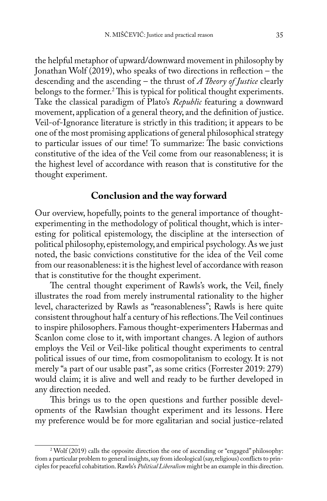the helpful metaphor of upward/downward movement in philosophy by Jonathan Wolf (2019), who speaks of two directions in reflection – the descending and the ascending – the thrust of *A Theory of Justice* clearly belongs to the former.2 This is typical for political thought experiments. Take the classical paradigm of Plato's *Republic* featuring a downward movement, application of a general theory, and the definition of justice. Veil-of-Ignorance literature is strictly in this tradition; it appears to be one of the most promising applications of general philosophical strategy to particular issues of our time! To summarize: The basic convictions constitutive of the idea of the Veil come from our reasonableness; it is the highest level of accordance with reason that is constitutive for the thought experiment.

### **Conclusion and the way forward**

Our overview, hopefully, points to the general importance of thoughtexperimenting in the methodology of political thought, which is interesting for political epistemology, the discipline at the intersection of political philosophy, epistemology, and empirical psychology. As we just noted, the basic convictions constitutive for the idea of the Veil come from our reasonableness: it is the highest level of accordance with reason that is constitutive for the thought experiment.

The central thought experiment of Rawls's work, the Veil, finely illustrates the road from merely instrumental rationality to the higher level, characterized by Rawls as "reasonableness"; Rawls is here quite consistent throughout half a century of his reflections. The Veil continues to inspire philosophers. Famous thought-experimenters Habermas and Scanlon come close to it, with important changes. A legion of authors employs the Veil or Veil-like political thought experiments to central political issues of our time, from cosmopolitanism to ecology. It is not merely "a part of our usable past", as some critics (Forrester 2019: 279) would claim; it is alive and well and ready to be further developed in any direction needed.

This brings us to the open questions and further possible developments of the Rawlsian thought experiment and its lessons. Here my preference would be for more egalitarian and social justice-related

<sup>2</sup> Wolf (2019) calls the opposite direction the one of ascending or "engaged" philosophy: from a particular problem to general insights, say from ideological (say, religious) conflicts to principles for peaceful cohabitation. Rawls's *Political Liberalism* might be an example in this direction.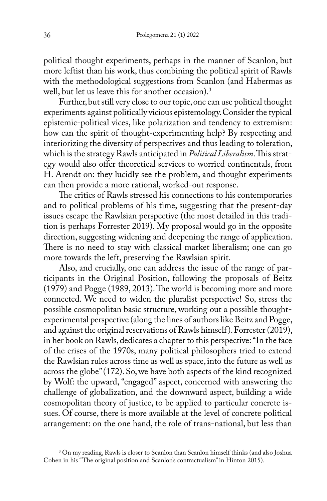political thought experiments, perhaps in the manner of Scanlon, but more leftist than his work, thus combining the political spirit of Rawls with the methodological suggestions from Scanlon (and Habermas as well, but let us leave this for another occasion).<sup>3</sup>

Further, but still very close to our topic, one can use political thought experiments against politically vicious epistemology. Consider the typical epistemic-political vices, like polarization and tendency to extremism: how can the spirit of thought-experimenting help? By respecting and interiorizing the diversity of perspectives and thus leading to toleration, which is the strategy Rawls anticipated in *Political Liberalism*. This strategy would also offer theoretical services to worried continentals, from H. Arendt on: they lucidly see the problem, and thought experiments can then provide a more rational, worked-out response.

The critics of Rawls stressed his connections to his contemporaries and to political problems of his time, suggesting that the present-day issues escape the Rawlsian perspective (the most detailed in this tradition is perhaps Forrester 2019). My proposal would go in the opposite direction, suggesting widening and deepening the range of application. There is no need to stay with classical market liberalism; one can go more towards the left, preserving the Rawlsian spirit.

Also, and crucially, one can address the issue of the range of participants in the Original Position, following the proposals of Beitz (1979) and Pogge (1989, 2013). The world is becoming more and more connected. We need to widen the pluralist perspective! So, stress the possible cosmopolitan basic structure, working out a possible thoughtexperimental perspective (along the lines of authors like Beitz and Pogge, and against the original reservations of Rawls himself). Forrester (2019), in her book on Rawls, dedicates a chapter to this perspective: "In the face of the crises of the 1970s, many political philosophers tried to extend the Rawlsian rules across time as well as space, into the future as well as across the globe" (172). So, we have both aspects of the kind recognized by Wolf: the upward, "engaged" aspect, concerned with answering the challenge of globalization, and the downward aspect, building a wide cosmopolitan theory of justice, to be applied to particular concrete issues. Of course, there is more available at the level of concrete political arrangement: on the one hand, the role of trans-national, but less than

<sup>&</sup>lt;sup>3</sup> On my reading, Rawls is closer to Scanlon than Scanlon himself thinks (and also Joshua Cohen in his "The original position and Scanlon's contractualism" in Hinton 2015).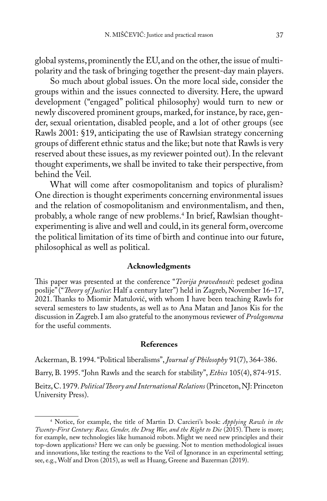global systems, prominently the EU, and on the other, the issue of multipolarity and the task of bringing together the present-day main players.

So much about global issues. On the more local side, consider the groups within and the issues connected to diversity. Here, the upward development ("engaged" political philosophy) would turn to new or newly discovered prominent groups, marked, for instance, by race, gender, sexual orientation, disabled people, and a lot of other groups (see Rawls 2001: §19, anticipating the use of Rawlsian strategy concerning groups of different ethnic status and the like; but note that Rawls is very reserved about these issues, as my reviewer pointed out). In the relevant thought experiments, we shall be invited to take their perspective, from behind the Veil.

What will come after cosmopolitanism and topics of pluralism? One direction is thought experiments concerning environmental issues and the relation of cosmopolitanism and environmentalism, and then, probably, a whole range of new problems.4 In brief, Rawlsian thoughtexperimenting is alive and well and could, in its general form, overcome the political limitation of its time of birth and continue into our future, philosophical as well as political.

#### **Acknowledgments**

This paper was presented at the conference "*Teorija pravednosti*: pedeset godina poslije" ("*Theory of Justice*: Half a century later") held in Zagreb, November 16–17, 2021. Thanks to Miomir Matulović, with whom I have been teaching Rawls for several semesters to law students, as well as to Ana Matan and Janos Kis for the discussion in Zagreb. I am also grateful to the anonymous reviewer of *Prolegomena* for the useful comments.

#### **References**

Ackerman, B. 1994. "Political liberalisms", *Journal of Philosophy* 91(7), 364-386.

Barry, B. 1995. "John Rawls and the search for stability", *Ethics* 105(4), 874-915.

Beitz, C. 1979. *Political Theory and International Relations* (Princeton, NJ: Princeton University Press).

<sup>4</sup> Notice, for example, the title of Martin D. Carcieri's book: *Applying Rawls in the Twenty-First Century: Race, Gender, the Drug War, and the Right to Die* (2015). There is more; for example, new technologies like humanoid robots. Might we need new principles and their top-down applications? Here we can only be guessing. Not to mention methodological issues and innovations, like testing the reactions to the Veil of Ignorance in an experimental setting; see, e.g., Wolf and Dron (2015), as well as Huang, Greene and Bazerman (2019).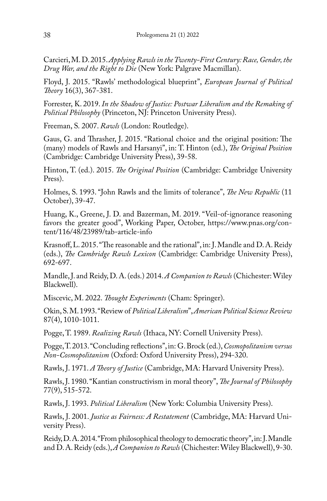Carcieri, M. D. 2015. *Applying Rawls in the Twenty-First Century: Race, Gender, the Drug War, and the Right to Die* (New York: Palgrave Macmillan).

Floyd, J. 2015. "Rawls' methodological blueprint", *European Journal of Political Theory* 16(3), 367-381.

Forrester, K. 2019. *In the Shadow of Justice: Postwar Liberalism and the Remaking of Political Philosophy* (Princeton, NJ: Princeton University Press).

Freeman, S. 2007. *Rawls* (London: Routledge).

Gaus, G. and Thrasher, J. 2015. "Rational choice and the original position: The (many) models of Rawls and Harsanyi", in: T. Hinton (ed.), *The Original Position* (Cambridge: Cambridge University Press), 39-58.

Hinton, T. (ed.). 2015. *The Original Position* (Cambridge: Cambridge University Press).

Holmes, S. 1993. "John Rawls and the limits of tolerance", *The New Republic* (11 October), 39-47.

Huang, K., Greene, J. D. and Bazerman, M. 2019. "Veil-of-ignorance reasoning favors the greater good", Working Paper, October, https://www.pnas.org/content/116/48/23989/tab-article-info

Krasnoff, L. 2015. "The reasonable and the rational", in: J. Mandle and D. A. Reidy (eds.), *The Cambridge Rawls Lexicon* (Cambridge: Cambridge University Press), 692-697.

Mandle, J. and Reidy, D. A. (eds.) 2014. *A Companion to Rawls* (Chichester: Wiley Blackwell).

Miscevic, M. 2022. *Thought Experiments* (Cham: Springer).

Okin, S. M. 1993. "Review of *Political Liberalism*", *American Political Science Review* 87(4), 1010-1011.

Pogge, T. 1989. *Realizing Rawls* (Ithaca, NY: Cornell University Press).

Pogge, T. 2013. "Concluding reflections", in: G. Brock (ed.), *Cosmopolitanism versus Non-Cosmopolitanism* (Oxford: Oxford University Press), 294-320.

Rawls, J. 1971. *A Theory of Justice* (Cambridge, MA: Harvard University Press).

Rawls, J. 1980. "Kantian constructivism in moral theory", *The Journal of Philosophy* 77(9), 515-572.

Rawls, J. 1993. *Political Liberalism* (New York: Columbia University Press).

Rawls, J. 2001. *Justice as Fairness: A Restatement* (Cambridge, MA: Harvard University Press).

Reidy, D. A. 2014. "From philosophical theology to democratic theory", in: J. Mandle and D. A. Reidy (eds.), *A Companion to Rawls* (Chichester: Wiley Blackwell), 9-30.